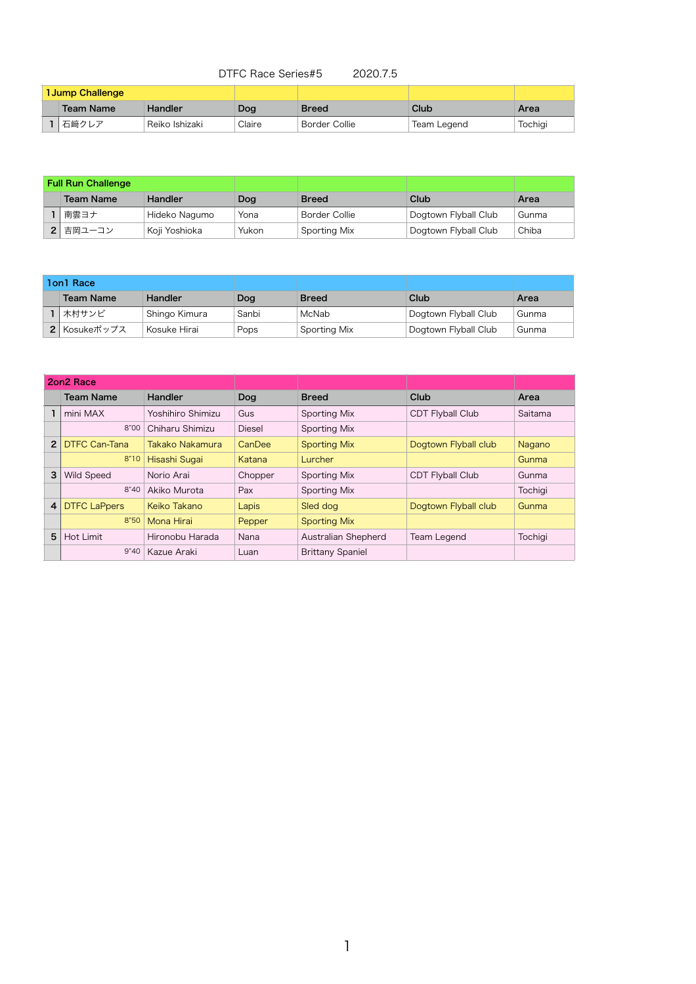## DTFC Race Series#5 2020.7.5

| <b>1 Jump Challenge</b> |           |                |        |               |             |         |
|-------------------------|-----------|----------------|--------|---------------|-------------|---------|
|                         | Team Name | Handler        | Dog    | <b>Breed</b>  | Club        | Area    |
|                         | 石﨑クレア     | Reiko Ishizaki | Claire | Border Collie | Team Legend | Tochigi |

| <b>Full Run Challenge</b> |                  |               |       |               |                      |       |
|---------------------------|------------------|---------------|-------|---------------|----------------------|-------|
|                           | <b>Team Name</b> | Handler       | Dog   | <b>Breed</b>  | Club                 | Area  |
|                           | 南雲ヨナ             | Hideko Nagumo | Yona  | Border Collie | Dogtown Flyball Club | Gunma |
|                           | 2 吉岡ユーコン         | Koji Yoshioka | Yukon | Sporting Mix  | Dogtown Flyball Club | Chiba |

| <b>2on2 Race</b> |                      |                     |               |                         |                         |         |
|------------------|----------------------|---------------------|---------------|-------------------------|-------------------------|---------|
|                  | <b>Team Name</b>     | <b>Handler</b>      | Dog           | <b>Breed</b>            | Club                    | Area    |
|                  | mini MAX             | Yoshihiro Shimizu   | Gus           | Sporting Mix            | <b>CDT Flyball Club</b> | Saitama |
|                  | 8"00                 | Chiharu Shimizu     | <b>Diesel</b> | Sporting Mix            |                         |         |
| $\overline{2}$   | <b>DTFC Can-Tana</b> | Takako Nakamura     | CanDee        | <b>Sporting Mix</b>     | Dogtown Flyball club    | Nagano  |
|                  | 8"10                 | Hisashi Sugai       | Katana        | Lurcher                 |                         | Gunma   |
| 3                | Wild Speed           | Norio Arai          | Chopper       | Sporting Mix            | <b>CDT Flyball Club</b> | Gunma   |
|                  | 8"40                 | Akiko Murota        | Pax           | Sporting Mix            |                         | Tochigi |
| 4                | <b>DTFC LaPpers</b>  | <b>Keiko Takano</b> | Lapis         | Sled dog                | Dogtown Flyball club    | Gunma   |
|                  | 8"50                 | Mona Hirai          | Pepper        | <b>Sporting Mix</b>     |                         |         |
| 5                | Hot Limit            | Hironobu Harada     | Nana          | Australian Shepherd     | Team Legend             | Tochigi |
|                  | 9"40                 | Kazue Araki         | Luan          | <b>Brittany Spaniel</b> |                         |         |

| 1on1 Race |                         |               |       |              |                      |       |
|-----------|-------------------------|---------------|-------|--------------|----------------------|-------|
|           | <b>Team Name</b>        | Handler       | Dog   | <b>Breed</b> | Club                 | Area  |
|           | 木村サンビ                   | Shingo Kimura | Sanbi | McNab        | Dogtown Flyball Club | Gunma |
|           | <sup>1</sup> Kosukeポップス | Kosuke Hirai  | Pops  | Sporting Mix | Dogtown Flyball Club | Gunma |

1